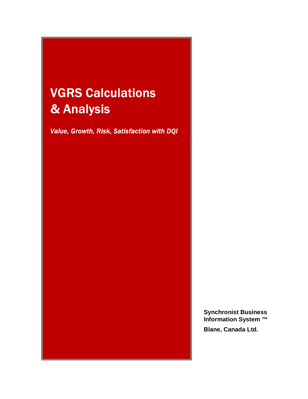# **VGRS Calculations** & Analysis

Value, Growth, Risk, Satisfaction with DQI

**Synchronist Business Information System ™** 

**Blane, Canada Ltd.**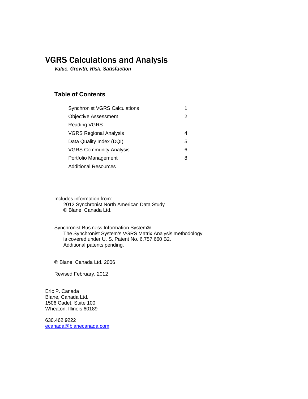### VGRS Calculations and Analysis

*Value, Growth, Risk, Satisfaction* 

### **Table of Contents**

| <b>Synchronist VGRS Calculations</b> |   |
|--------------------------------------|---|
| <b>Objective Assessment</b>          | 2 |
| Reading VGRS                         |   |
| <b>VGRS Regional Analysis</b>        | 4 |
| Data Quality Index (DQI)             | 5 |
| <b>VGRS Community Analysis</b>       | 6 |
| Portfolio Management                 | 8 |
| Additional Resources                 |   |

Includes information from: 2012 Synchronist North American Data Study © Blane, Canada Ltd.

Synchronist Business Information System® The Synchronist System's VGRS Matrix Analysis methodology is covered under U. S. Patent No. 6,757,660 B2. Additional patents pending.

© Blane, Canada Ltd. 2006

Revised February, 2012

Eric P. Canada Blane, Canada Ltd. 1506 Cadet, Suite 100 Wheaton, Illinois 60189

630.462.9222 ecanada@blanecanada.com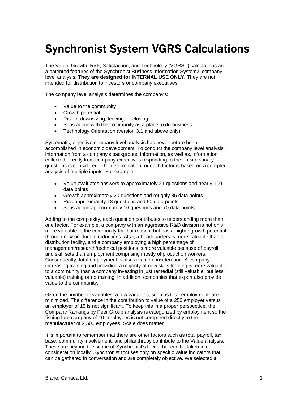# **Synchronist System VGRS Calculations**

The Value, Growth, Risk, Satisfaction, and Technology (VGRST) calculations are a patented features of the Synchronist Business Information System® company level analysis. **They are designed for INTERNAL USE ONLY.** They are not intended for distribution to investors or company executives.

The company level analysis determines the company's:

- � Value to the community
- Growth potential
- � Risk of downsizing, leaving, or closing
- Satisfaction with the community as a place to do business
- Technology Orientation (version 3.1 and above only)

Systematic, objective company level analysis has never before been accomplished in economic development. To conduct the company level analysis, information from a company's background information, as well as, information collected directly from company executives responding to the on-site survey questions is considered. The determination for each factor is based on a complex analysis of multiple inputs. For example:

- � Value evaluates answers to approximately 21 questions and nearly 100 data points
- Growth approximately 20 questions and roughly 85 data points
- Risk approximately 18 questions and 90 data points
- Satisfaction approximately 16 questions and 70 data points

Adding to the complexity, each question contributes to understanding more than one factor. For example, a company with an aggressive R&D division is not only more valuable to the community for that reason, but has a higher growth potential through new product introductions. Also, a headquarters is more valuable than a distribution facility, and a company employing a high percentage of management/research/technical positions is more valuable because of payroll and skill sets than employment comprising mostly of production workers. Consequently, total employment is also a value consideration. A company increasing training and providing a majority of new skills training is more valuable to a community than a company investing in just remedial (still valuable, but less valuable) training or no training. In addition, companies that export also provide value to the community.

Given the number of variables, a few variables, such as total employment, are minimized. The difference in the contribution to value of a 250 employer versus an employer of 15 is not significant. To keep this in a proper perspective, the Company Rankings by Peer Group analysis is categorized by employment so the fishing lure company of 10 employees is not compared directly to the manufacturer of 2,500 employees. Scale does matter.

It is important to remember that there are other factors such as total payroll, tax base, community involvement, and philanthropy contribute to the Value analysis. These are beyond the scope of Synchronist's focus, but can be taken into consideration locally. Synchronist focuses only on specific value indicators that can be gathered in conversation and are completely objective. We selected a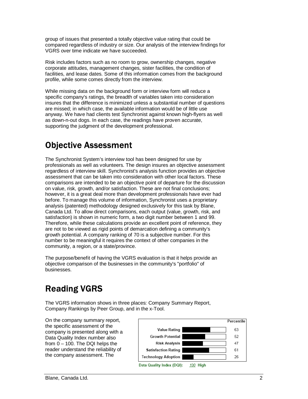group of issues that presented a totally objective value rating that could be compared regardless of industry or size. Our analysis of the interview findings for VGRS over time indicate we have succeeded.

Risk includes factors such as no room to grow, ownership changes, negative corporate attitudes, management changes, sister facilities, the condition of facilities, and lease dates. Some of this information comes from the background profile, while some comes directly from the interview.

While missing data on the background form or interview form will reduce a specific company's ratings, the breadth of variables taken into consideration insures that the difference is minimized unless a substantial number of questions are missed; in which case, the available information would be of little use anyway. We have had clients test Synchronist against known high-flyers as well as down-n-out dogs. In each case, the readings have proven accurate, supporting the judgment of the development professional.

## **Objective Assessment**

The Synchronist System's interview tool has been designed for use by professionals as well as volunteers. The design insures an objective assessment regardless of interview skill. Synchronist's analysis function provides an objective assessment that can be taken into consideration with other local factors. These comparisons are intended to be an objective point of departure for the discussion on value, risk, growth, and/or satisfaction. These are not final conclusions; however, it is a great deal more than development professionals have ever had before. To manage this volume of information, Synchronist uses a proprietary analysis (patented) methodology designed exclusively for this task by Blane, Canada Ltd. To allow direct comparisons, each output (value, growth, risk, and satisfaction) is shown in numeric form, a two digit number between 1 and 99. Therefore, while these calculations provide an excellent point of reference, they are not to be viewed as rigid points of demarcation defining a community's growth potential. A company ranking of 70 is a subjective number. For this number to be meaningful it requires the context of other companies in the community, a region, or a state/province.

The purpose/benefit of having the VGRS evaluation is that it helps provide an objective comparison of the businesses in the community's "portfolio" of businesses.

# **Reading VGRS**

The VGRS information shows in three places: Company Summary Report, Company Rankings by Peer Group, and in the x-Tool.

On the company summary report, the specific assessment of the company is presented along with a Data Quality Index number also from  $0 - 100$ . The DQI helps the reader understand the reliability of the company assessment. The

|                            | Percentile |
|----------------------------|------------|
| Value Rating               | 63         |
| <b>Growth Potential</b>    | 52         |
| <b>Risk Analysis</b>       | 47         |
| <b>Satisfaction Rating</b> | 61         |
| <b>Technology Adoption</b> | 26         |
| Data Quality Index (DQI):  |            |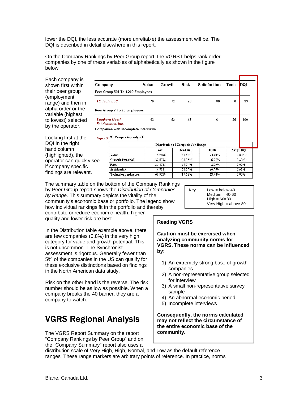lower the DQI, the less accurate (more unreliable) the assessment will be. The DQI is described in detail elsewhere in this report.

On the Company Rankings by Peer Group report, the VGRST helps rank order companies by one of these variables of alphabetically as shown in the figure below.

Each company is shown first within their peer group (employment range) and then in alpha order or the variable (highest to lowest) selected by the operator.

Looking first at the DQI in the right hand column (highlighted), the operator can quickly se if company specific findings are relevant.

| Company                                            |                                                                              | Value  | Growth | Risk                               | Satisfaction | Tech     | DQI       |
|----------------------------------------------------|------------------------------------------------------------------------------|--------|--------|------------------------------------|--------------|----------|-----------|
|                                                    | Peer Group 501 To 1,200 Employees                                            |        |        |                                    |              |          |           |
|                                                    | TC Tech, LLC                                                                 | 79     | 72     | 26                                 | 80           | $\bf{0}$ | 93        |
|                                                    | Peer Group 7 To 20 Employees                                                 |        |        |                                    |              |          |           |
| <b>Southern Metal</b><br><b>Fabrications, Inc.</b> |                                                                              | 63     | 52     | 47                                 | 61           | 26       | 100       |
|                                                    | <b>Companies with Incomplete Interviews</b><br>Aqua B 251 Companies analyzed |        |        |                                    |              |          |           |
|                                                    |                                                                              |        |        | Distribution of Companies by Range |              |          |           |
|                                                    |                                                                              | Low    |        | Medium                             | High         |          | Very High |
|                                                    | Value                                                                        |        | 5.98%  | 68.53%                             | 24.70%       |          | 0.80%     |
| ee                                                 | <b>Growth Potential</b>                                                      | 32.67% |        | 59.76%                             | 6.77%        |          | 0.80%     |
|                                                    | <b>Risk</b>                                                                  | 31.47% |        | 65.74%                             | 2.79%        |          | 0.00%     |
|                                                    | <b>Satisfaction</b>                                                          |        | 4.78%  | 28.29%                             | 60.96%       |          | 5.98%     |
|                                                    | Technology Adoption                                                          | 68.92% |        | 17.13%                             | 13.94%       |          | 0.00%     |

The summary table on the bottom of the Company Rankings by Peer Group report shows the Distribution of Companies by Range. This summary depicts the vitality of the community's economic base or portfolio. The legend show how individual rankings fit in the portfolio and thereby contribute or reduce economic health: higher

quality and lower risk are best.

In the Distribution table example above, there are few companies (0.8%) in the very high category for value and growth potential. This is not uncommon. The Synchronist assessment is rigorous. Generally fewer than 5% of the companies in the US can qualify for these exclusive distinctions based on findings in the North American data study.

Risk on the other hand is the reverse. The risk number should be as low as possible. When a company breaks the 40 barrier, they are a company to watch.

# **VGRS Regional Analysis**

The VGRS Report Summary on the report "Company Rankings by Peer Group" and on the "Company Summary" report also uses a

#### $Key$  Low = below 40  $Median = 40-60$  $High = 60 = 80$ Very High = above 80

### **Reading VGRS**

**Caution must be exercised when analyzing community norms for VGRS. These norms can be influenced by:** 

- 1) An extremely strong base of growth companies
- 2) A non-representative group selected for interview
- 3) A small non-representative survey sample
- 4) An abnormal economic period
- 5) Incomplete interviews

**Consequently, the norms calculated may not reflect the circumstance of the entire economic base of the community.**

distribution scale of Very High, High, Normal, and Low as the default reference ranges. These range markers are arbitrary points of reference. In practice, norms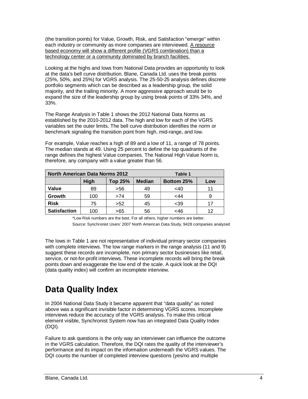(the transition points) for Value, Growth, Risk, and Satisfaction "emerge" within each industry or community as more companies are interviewed. A resource based economy will show a different profile (VGRS combination) than a technology center or a community dominated by branch facilities.

Looking at the highs and lows from National Data provides an opportunity to look at the data's bell curve distribution. Blane, Canada Ltd. uses the break points (25%, 50%, and 25%) for VGRS analysis. The 25-50-25 analysis defines discrete portfolio segments which can be described as a leadership group, the solid majority, and the trailing minority. A more aggressive approach would be to expand the size of the leadership group by using break points of 33% 34%, and 33%.

The Range Analysis in Table 1 shows the 2012 National Data Norms as established by the 2010-2012 data. The high and low for each of the VGRS variables set the outer limits. The bell curve distribution identifies the norm or benchmark signaling the transition point from high, mid-range, and low.

For example, Value reaches a high of 89 and a low of 11, a range of 78 points. The median stands at 49. Using 25 percent to define the top quadrants of the range defines the highest Value companies. The National High Value Norm is, therefore, any company with a value greater than 56.

| <b>North American Data Norms 2012</b><br>Table 1 |      |                |               |                   |     |
|--------------------------------------------------|------|----------------|---------------|-------------------|-----|
|                                                  | High | <b>Top 25%</b> | <b>Median</b> | <b>Bottom 25%</b> | Low |
| Value                                            | 89   | >56            | 49            | $<$ 40            | 11  |
| Growth                                           | 100  | >74            | 59            | $<$ 44            |     |
| <b>Risk</b>                                      | 75   | >52            | 45            | $<$ 39            | 17  |
| <b>Satisfaction</b>                              | 100  | >65            | 56            | <46               | 12  |

\*Low Risk numbers are the best. For all others, higher numbers are better.

Source: Synchronist Users' 2007 North American Data Study, 9428 companies analyzed

The lows in Table 1 are not representative of individual primary sector companies with complete interviews. The low range markers in the range analysis (11 and 9) suggest these records are incomplete, non primary sector businesses like retail, service, or not-for-profit interviews. These incomplete records will bring the break points down and exaggerate the low end of the scale. A quick look at the DQI (data quality index) will confirm an incomplete interview.

# **Data Quality Index**

In 2004 National Data Study it became apparent that "data quality" as noted above was a significant invisible factor in determining VGRS scores. Incomplete interviews reduce the accuracy of the VGRS analysis. To make this critical element visible, Synchronist System now has an integrated Data Quality Index (DQI).

Failure to ask questions is the only way an interviewer can influence the outcome in the VGRS calculation. Therefore, the DQI rates the quality of the interviewer's performance and its impact on the information underneath the VGRS values. The DQI counts the number of completed interview questions (yes/no and multiple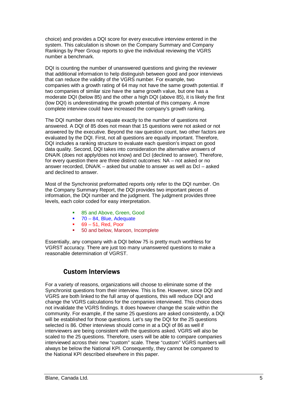choice) and provides a DQI score for every executive interview entered in the system. This calculation is shown on the Company Summary and Company Rankings by Peer Group reports to give the individual reviewing the VGRS number a benchmark.

DQI is counting the number of unanswered questions and giving the reviewer that additional information to help distinguish between good and poor interviews that can reduce the validity of the VGRS number. For example, two companies with a growth rating of 64 may not have the same growth potential. If two companies of similar size have the same growth value, but one has a moderate DQI (below 85) and the other a high DQI (above 85), it is likely the first (low DQI) is underestimating the growth potential of this company. A more complete interview could have increased the company's growth ranking.

The DQI number does not equate exactly to the number of questions not answered. A DQI of 85 does not mean that 15 questions were not asked or not answered by the executive. Beyond the raw question count, two other factors are evaluated by the DQI. First, not all questions are equally important. Therefore, DQI includes a ranking structure to evaluate each question's impact on good data quality. Second, DQI takes into consideration the alternative answers of DNA/K (does not apply/does not know) and Dcl (declined to answer). Therefore, for every question there are three distinct outcomes: NA – not asked or no answer recorded, DNA/K – asked but unable to answer as well as Dcl – asked and declined to answer.

Most of the Synchronist preformatted reports only refer to the DQI number. On the Company Summary Report, the DQI provides two important pieces of information, the DQI number and the judgment. The judgment provides three levels, each color coded for easy interpretation.

- � 85 and Above, Green, Good
- $\blacksquare$  70 84, Blue, Adequate
- $\bullet$  69 51, Red, Poor
- 50 and below, Maroon, Incomplete

Essentially, any company with a DQI below 75 is pretty much worthless for VGRST accuracy. There are just too many unanswered questions to make a reasonable determination of VGRST.

### **Custom Interviews**

For a variety of reasons, organizations will choose to eliminate some of the Synchronist questions from their interview. This is fine. However, since DQI and VGRS are both linked to the full array of questions, this will reduce DQI and change the VGRS calculations for the companies interviewed. This choice does not invalidate the VGRS findings. It does however change the scale within the community. For example, if the same 25 questions are asked consistently, a DQI will be established for those questions. Let's say the DQI for the 25 questions selected is 86. Other interviews should come in at a DQI of 86 as well if interviewers are being consistent with the questions asked. VGRS will also be scaled to the 25 questions. Therefore, users will be able to compare companies interviewed across their new "custom" scale. These "custom" VGRS numbers will always be below the National KPI. Consequently, they cannot be compared to the National KPI described elsewhere in this paper.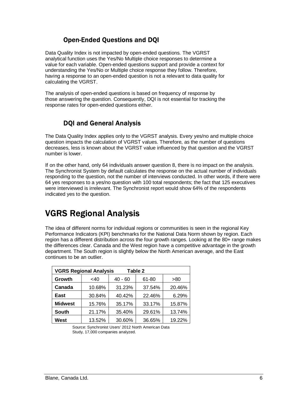### **Open-Ended Questions and DQI**

Data Quality Index is not impacted by open-ended questions. The VGRST analytical function uses the Yes/No Multiple choice responses to determine a value for each variable. Open-ended questions support and provide a context for understanding the Yes/No or Multiple choice response they follow. Therefore, having a response to an open-ended question is not a relevant to data quality for calculating the VGRST.

The analysis of open-ended questions is based on frequency of response by those answering the question. Consequently, DQI is not essential for tracking the response rates for open-ended questions either.

### **DQI and General Analysis**

The Data Quality Index applies only to the VGRST analysis. Every yes/no and multiple choice question impacts the calculation of VGRST values. Therefore, as the number of questions decreases, less is known about the VGRST value influenced by that question and the VGRST number is lower.

If on the other hand, only 64 individuals answer question 8, there is no impact on the analysis. The Synchronist System by default calculates the response on the actual number of individuals responding to the question, not the number of interviews conducted. In other words, if there were 64 yes responses to a yes/no question with 100 total respondents; the fact that 125 executives were interviewed is irrelevant. The Synchronist report would show 64% of the respondents indicated yes to the question.

## **VGRS Regional Analysis**

The idea of different norms for individual regions or communities is seen in the regional Key Performance Indicators (KPI) benchmarks for the National Data Norm shown by region. Each region has a different distribution across the four growth ranges. Looking at the 80+ range makes the differences clear. Canada and the West region have a competitive advantage in the growth department. The South region is slightly below the North American average, and the East continues to be an outlier.

| <b>VGRS Regional Analysis</b><br>Table 2 |        |           |        |        |  |  |
|------------------------------------------|--------|-----------|--------|--------|--|--|
| Growth                                   | <40    | $40 - 60$ | 61-80  | >80    |  |  |
| Canada                                   | 10.68% | 31.23%    | 37.54% | 20.46% |  |  |
| East                                     | 30.84% | 40.42%    | 22.46% | 6.29%  |  |  |
| <b>Midwest</b>                           | 15.76% | 35.17%    | 33.17% | 15.87% |  |  |
| South                                    | 21.17% | 35.40%    | 29.61% | 13.74% |  |  |
| West                                     | 13.52% | 30.60%    | 36.65% | 19.22% |  |  |

Source: Synchronist Users' 2012 North American Data Study, 17,000 companies analyzed.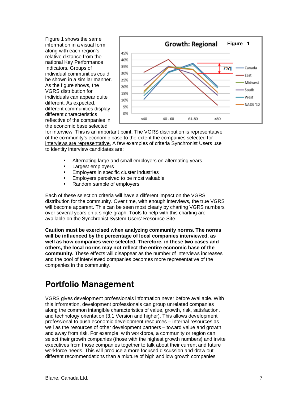Figure 1 shows the same information in a visual form along with each region's relative distance from the national Key Performance Indicators. Groups of individual communities could be shown in a similar manner. As the figure shows, the VGRS distribution for individuals can appear quite different. As expected, different communities display different characteristics reflective of the companies in the economic base selected



for interview. This is an important point. The VGRS distribution is representative of the community's economic base to the extent the companies selected for interviews are representative. A few examples of criteria Synchronist Users use to identity interview candidates are:

- **Alternating large and small employers on alternating years**
- **Largest employers**
- **Employers in specific cluster industries**
- **Employers perceived to be most valuable**
- Random sample of employers

Each of these selection criteria will have a different impact on the VGRS distribution for the community. Over time, with enough interviews, the true VGRS will become apparent. This can be seen most clearly by charting VGRS numbers over several years on a single graph. Tools to help with this charting are available on the Synchronist System Users' Resource Site.

**Caution must be exercised when analyzing community norms. The norms will be influenced by the percentage of local companies interviewed, as well as how companies were selected. Therefore, in these two cases and others, the local norms may not reflect the entire economic base of the community.** These effects will disappear as the number of interviews increases and the pool of interviewed companies becomes more representative of the companies in the community.

# **Portfolio Management**

VGRS gives development professionals information never before available. With this information, development professionals can group unrelated companies along the common intangible characteristics of value, growth, risk, satisfaction, and technology orientation (3.1 Version and higher). This allows development professional to push economic development resources – internal resources as well as the resources of other development partners – toward value and growth and away from risk. For example, with workforce, a community or region can select their growth companies (those with the highest growth numbers) and invite executives from those companies together to talk about their current and future workforce needs. This will produce a more focused discussion and draw out different recommendations than a mixture of high and low growth companies